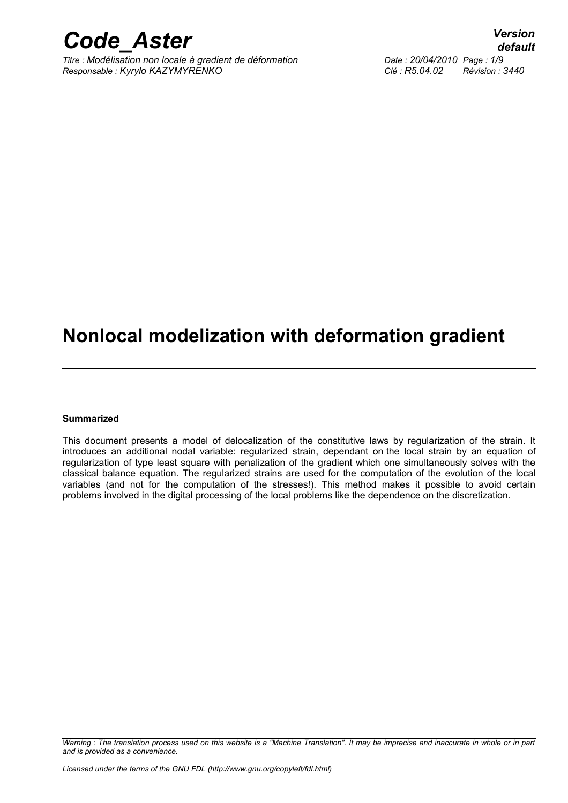

*Titre : Modélisation non locale à gradient de déformation Date : 20/04/2010 Page : 1/9 Responsable : Kyrylo KAZYMYRENKO Clé : R5.04.02 Révision : 3440*

*default*

### **Nonlocal modelization with deformation gradient**

#### **Summarized**

This document presents a model of delocalization of the constitutive laws by regularization of the strain. It introduces an additional nodal variable: regularized strain, dependant on the local strain by an equation of regularization of type least square with penalization of the gradient which one simultaneously solves with the classical balance equation. The regularized strains are used for the computation of the evolution of the local variables (and not for the computation of the stresses!). This method makes it possible to avoid certain problems involved in the digital processing of the local problems like the dependence on the discretization.

*Warning : The translation process used on this website is a "Machine Translation". It may be imprecise and inaccurate in whole or in part and is provided as a convenience.*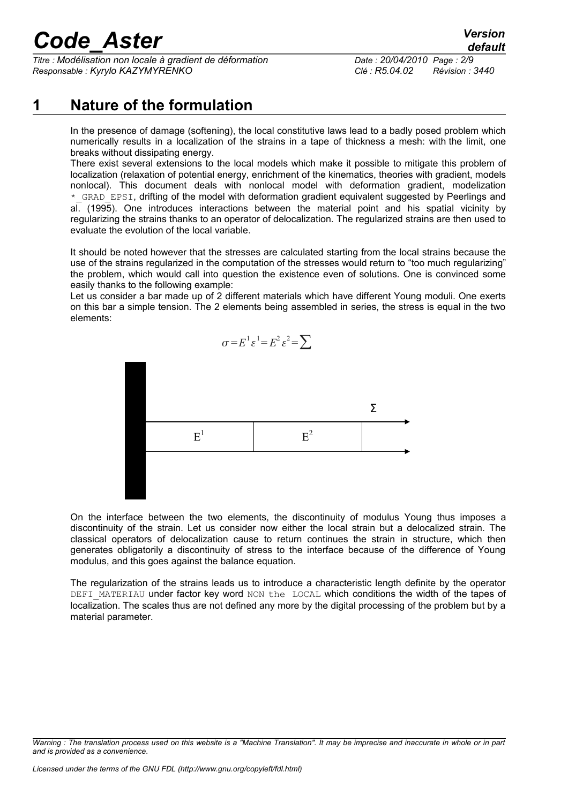*Titre : Modélisation non locale à gradient de déformation Date : 20/04/2010 Page : 2/9 Responsable : Kyrylo KAZYMYRENKO Clé : R5.04.02 Révision : 3440*

### **1 Nature of the formulation**

In the presence of damage (softening), the local constitutive laws lead to a badly posed problem which numerically results in a localization of the strains in a tape of thickness a mesh: with the limit, one breaks without dissipating energy.

There exist several extensions to the local models which make it possible to mitigate this problem of localization (relaxation of potential energy, enrichment of the kinematics, theories with gradient, models nonlocal). This document deals with nonlocal model with deformation gradient, modelization \* GRAD EPSI, drifting of the model with deformation gradient equivalent suggested by Peerlings and al. (1995). One introduces interactions between the material point and his spatial vicinity by regularizing the strains thanks to an operator of delocalization. The regularized strains are then used to evaluate the evolution of the local variable.

It should be noted however that the stresses are calculated starting from the local strains because the use of the strains regularized in the computation of the stresses would return to "too much regularizing" the problem, which would call into question the existence even of solutions. One is convinced some easily thanks to the following example:

Let us consider a bar made up of 2 different materials which have different Young moduli. One exerts on this bar a simple tension. The 2 elements being assembled in series, the stress is equal in the two elements:



On the interface between the two elements, the discontinuity of modulus Young thus imposes a discontinuity of the strain. Let us consider now either the local strain but a delocalized strain. The classical operators of delocalization cause to return continues the strain in structure, which then generates obligatorily a discontinuity of stress to the interface because of the difference of Young modulus, and this goes against the balance equation.

The regularization of the strains leads us to introduce a characteristic length definite by the operator DEFI\_MATERIAU under factor key word NON the LOCAL which conditions the width of the tapes of localization. The scales thus are not defined any more by the digital processing of the problem but by a material parameter.

*Warning : The translation process used on this website is a "Machine Translation". It may be imprecise and inaccurate in whole or in part and is provided as a convenience.*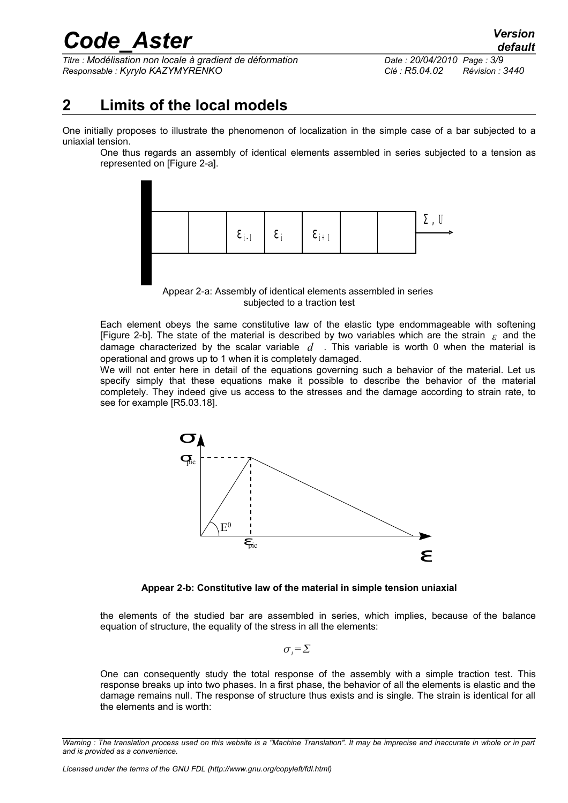*Titre : Modélisation non locale à gradient de déformation Date : 20/04/2010 Page : 3/9 Responsable : Kyrylo KAZYMYRENKO Clé : R5.04.02 Révision : 3440*

### **2 Limits of the local models**

One initially proposes to illustrate the phenomenon of localization in the simple case of a bar subjected to a uniaxial tension.

One thus regards an assembly of identical elements assembled in series subjected to a tension as represented on [Figure 2-a].



Appear 2-a: Assembly of identical elements assembled in series subjected to a traction test

Each element obeys the same constitutive law of the elastic type endommageable with softening [Figure 2-b]. The state of the material is described by two variables which are the strain *ε* and the damage characterized by the scalar variable *d* . This variable is worth 0 when the material is operational and grows up to 1 when it is completely damaged.

We will not enter here in detail of the equations governing such a behavior of the material. Let us specify simply that these equations make it possible to describe the behavior of the material completely. They indeed give us access to the stresses and the damage according to strain rate, to see for example [R5.03.18].



**Appear 2-b: Constitutive law of the material in simple tension uniaxial**

the elements of the studied bar are assembled in series, which implies, because of the balance equation of structure, the equality of the stress in all the elements:

 $\sigma_i = \sum$ 

One can consequently study the total response of the assembly with a simple traction test. This response breaks up into two phases. In a first phase, the behavior of all the elements is elastic and the damage remains null. The response of structure thus exists and is single. The strain is identical for all the elements and is worth:

*Warning : The translation process used on this website is a "Machine Translation". It may be imprecise and inaccurate in whole or in part and is provided as a convenience.*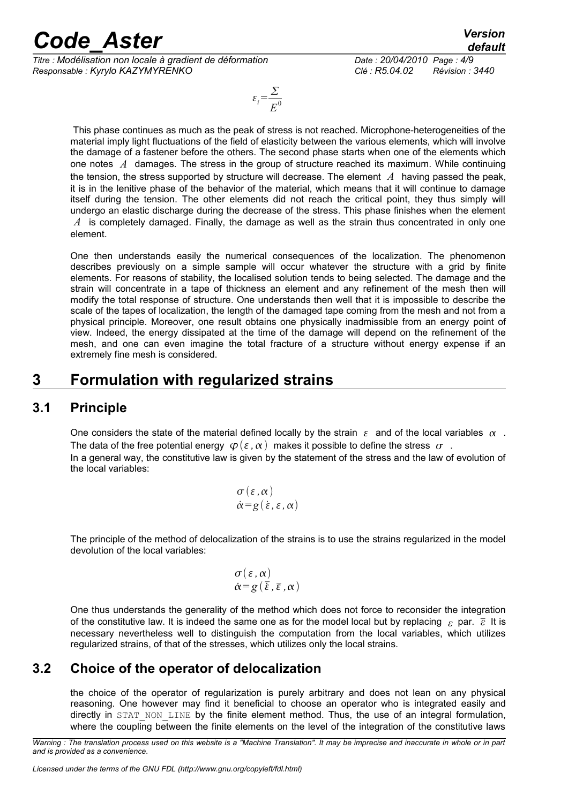*Titre : Modélisation non locale à gradient de déformation Date : 20/04/2010 Page : 4/9 Responsable : Kyrylo KAZYMYRENKO Clé : R5.04.02 Révision : 3440*

$$
\varepsilon_i = \frac{\Sigma}{E^0}
$$

This phase continues as much as the peak of stress is not reached. Microphone-heterogeneities of the material imply light fluctuations of the field of elasticity between the various elements, which will involve the damage of a fastener before the others. The second phase starts when one of the elements which one notes *A* damages. The stress in the group of structure reached its maximum. While continuing the tension, the stress supported by structure will decrease. The element *A* having passed the peak, it is in the lenitive phase of the behavior of the material, which means that it will continue to damage itself during the tension. The other elements did not reach the critical point, they thus simply will undergo an elastic discharge during the decrease of the stress. This phase finishes when the element *A* is completely damaged. Finally, the damage as well as the strain thus concentrated in only one element.

One then understands easily the numerical consequences of the localization. The phenomenon describes previously on a simple sample will occur whatever the structure with a grid by finite elements. For reasons of stability, the localised solution tends to being selected. The damage and the strain will concentrate in a tape of thickness an element and any refinement of the mesh then will modify the total response of structure. One understands then well that it is impossible to describe the scale of the tapes of localization, the length of the damaged tape coming from the mesh and not from a physical principle. Moreover, one result obtains one physically inadmissible from an energy point of view. Indeed, the energy dissipated at the time of the damage will depend on the refinement of the mesh, and one can even imagine the total fracture of a structure without energy expense if an extremely fine mesh is considered.

### **3 Formulation with regularized strains**

#### **3.1 Principle**

One considers the state of the material defined locally by the strain  $\varepsilon$  and of the local variables  $\alpha$ . The data of the free potential energy  $\varphi(\varepsilon, \alpha)$  makes it possible to define the stress  $\sigma$ . In a general way, the constitutive law is given by the statement of the stress and the law of evolution of the local variables:

$$
\begin{array}{l}\n\sigma(\varepsilon,\alpha) \\
\dot{\alpha}=g(\dot{\varepsilon},\varepsilon,\alpha)\n\end{array}
$$

The principle of the method of delocalization of the strains is to use the strains regularized in the model devolution of the local variables:

$$
\sigma(\varepsilon,\alpha) \\ \dot{\alpha} = g(\bar{\varepsilon},\bar{\varepsilon},\alpha)
$$

One thus understands the generality of the method which does not force to reconsider the integration of the constitutive law. It is indeed the same one as for the model local but by replacing *ε* par. *ε* It is necessary nevertheless well to distinguish the computation from the local variables, which utilizes regularized strains, of that of the stresses, which utilizes only the local strains.

#### **3.2 Choice of the operator of delocalization**

the choice of the operator of regularization is purely arbitrary and does not lean on any physical reasoning. One however may find it beneficial to choose an operator who is integrated easily and directly in STAT\_NON\_LINE by the finite element method. Thus, the use of an integral formulation, where the coupling between the finite elements on the level of the integration of the constitutive laws

*Warning : The translation process used on this website is a "Machine Translation". It may be imprecise and inaccurate in whole or in part and is provided as a convenience.*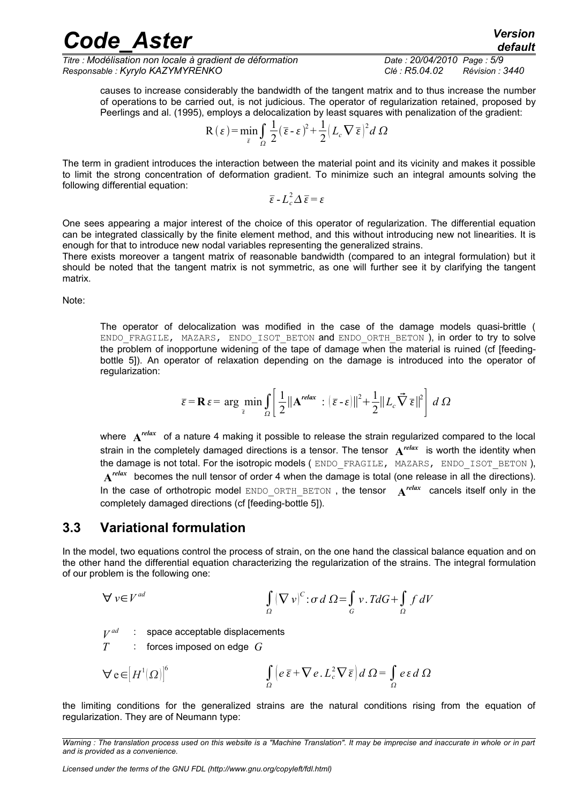*Titre : Modélisation non locale à gradient de déformation Date : 20/04/2010 Page : 5/9 Responsable : Kyrylo KAZYMYRENKO Clé : R5.04.02 Révision : 3440*

causes to increase considerably the bandwidth of the tangent matrix and to thus increase the number of operations to be carried out, is not judicious. The operator of regularization retained, proposed by Peerlings and al. (1995), employs a delocalization by least squares with penalization of the gradient:

$$
R(\varepsilon) = \min_{\bar{\varepsilon}} \int_{\Omega} \frac{1}{2} (\bar{\varepsilon} - \varepsilon)^2 + \frac{1}{2} (L_c \nabla \bar{\varepsilon})^2 d\Omega
$$

The term in gradient introduces the interaction between the material point and its vicinity and makes it possible to limit the strong concentration of deformation gradient. To minimize such an integral amounts solving the following differential equation:

$$
\overline{\varepsilon} - L_c^2 \Delta \overline{\varepsilon} = \varepsilon
$$

One sees appearing a major interest of the choice of this operator of regularization. The differential equation can be integrated classically by the finite element method, and this without introducing new not linearities. It is enough for that to introduce new nodal variables representing the generalized strains.

There exists moreover a tangent matrix of reasonable bandwidth (compared to an integral formulation) but it should be noted that the tangent matrix is not symmetric, as one will further see it by clarifying the tangent matrix.

Note:

The operator of delocalization was modified in the case of the damage models quasi-brittle ( ENDO FRAGILE, MAZARS, ENDO ISOT BETON and ENDO ORTH BETON ), in order to try to solve the problem of inopportune widening of the tape of damage when the material is ruined (cf [feedingbottle 5]). An operator of relaxation depending on the damage is introduced into the operator of regularization:

$$
\overline{\varepsilon} = \mathbf{R}\,\varepsilon = \arg\min_{\overline{\varepsilon}} \int_{\Omega} \left[ \frac{1}{2} ||\mathbf{A}^{relax} : (\overline{\varepsilon} - \varepsilon)||^2 + \frac{1}{2} ||L_c \vec{\nabla} \,\overline{\varepsilon}||^2 \right] \, d\,\Omega
$$

where **A** *relax* of a nature 4 making it possible to release the strain regularized compared to the local strain in the completely damaged directions is a tensor. The tensor **A** *relax* is worth the identity when the damage is not total. For the isotropic models (ENDO\_FRAGILE, MAZARS, ENDO\_ISOT\_BETON),  $A<sup>relax</sup>$  becomes the null tensor of order 4 when the damage is total (one release in all the directions). In the case of orthotropic model ENDO\_ORTH\_BETON , the tensor **A** *relax* cancels itself only in the completely damaged directions (cf [feeding-bottle 5]).

#### **3.3 Variational formulation**

In the model, two equations control the process of strain, on the one hand the classical balance equation and on the other hand the differential equation characterizing the regularization of the strains. The integral formulation of our problem is the following one:

$$
\bigvee v \in V^{ad} \qquad \qquad \int_{\Omega} \left( \nabla v \right)^c : \sigma \, d \Omega = \int_{G} v \cdot T dG + \int_{\Omega} f \, dV
$$

 $\frac{V^{ad}}{T}$ : space acceptable displacements

*T* : forces imposed on edge *G*

$$
\nabla e \in [H^{1}(\Omega)]^{6}
$$
\n
$$
\int_{\Omega} \left( e \,\overline{\varepsilon} + \nabla e \cdot L_{c}^{2} \nabla \overline{\varepsilon} \right) d\,\Omega = \int_{\Omega} e \,\varepsilon \,d\,\Omega
$$

the limiting conditions for the generalized strains are the natural conditions rising from the equation of regularization. They are of Neumann type:

*Warning : The translation process used on this website is a "Machine Translation". It may be imprecise and inaccurate in whole or in part and is provided as a convenience.*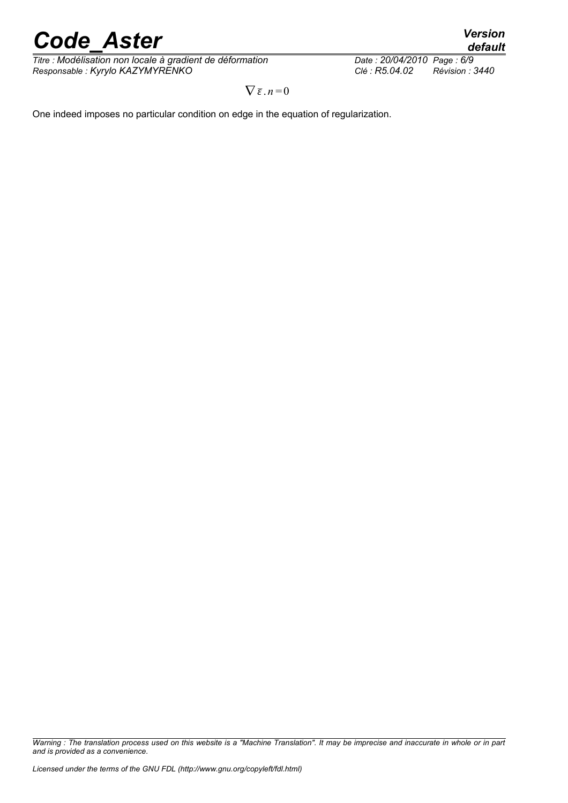*Titre : Modélisation non locale à gradient de déformation Date : 20/04/2010 Page : 6/9 Responsable : Kyrylo KAZYMYRENKO Clé : R5.04.02 Révision : 3440*

 $\nabla \bar{\varepsilon}$ .  $n=0$ 

One indeed imposes no particular condition on edge in the equation of regularization.

*Warning : The translation process used on this website is a "Machine Translation". It may be imprecise and inaccurate in whole or in part and is provided as a convenience.*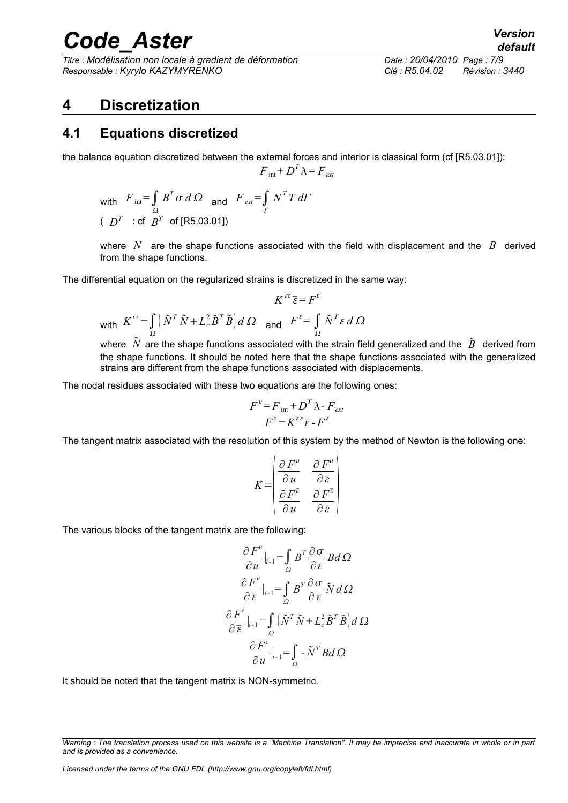*Titre : Modélisation non locale à gradient de déformation Date : 20/04/2010 Page : 7/9 Responsable : Kyrylo KAZYMYRENKO Clé : R5.04.02 Révision : 3440*

#### **4 Discretization**

#### **4.1 Equations discretized**

the balance equation discretized between the external forces and interior is classical form (cf [R5.03.01]):

$$
F_{\text{int}} + D^T \lambda = F_{\text{ext}}
$$

with  $F_{int} = \int_{\Omega} B^T \sigma \, d\Omega$  and  $F_{ext} = \int_{\Gamma}$ Ω *N T T dΓ* (  $D^T$   $\div$  cf  $B^T$  of [R5.03.01])

where *N* are the shape functions associated with the field with displacement and the *B* derived from the shape functions.

The differential equation on the regularized strains is discretized in the same way:

$$
K^{\varepsilon \varepsilon} \overline{\varepsilon} = F^{\varepsilon}
$$
  
with 
$$
K^{\varepsilon \varepsilon} = \int_{\Omega} \left( \tilde{N}^T \tilde{N} + L_c^2 \tilde{B}^T \tilde{B} \right) d\Omega \quad \text{and} \quad F^{\varepsilon} = \int_{\Omega} \tilde{N}^T \varepsilon \, d\Omega
$$

where  $N$  are the shape functions associated with the strain field generalized and the  $\tilde{B}$  derived from the shape functions. It should be noted here that the shape functions associated with the generalized strains are different from the shape functions associated with displacements.

The nodal residues associated with these two equations are the following ones:

$$
F^u = F_{int} + D^T \lambda - F_{ext}
$$

$$
F^{\bar{\varepsilon}} = K^{\varepsilon \varepsilon} \bar{\varepsilon} - F^{\varepsilon}
$$

The tangent matrix associated with the resolution of this system by the method of Newton is the following one:

$$
K = \begin{pmatrix} \frac{\partial F^u}{\partial u} & \frac{\partial F^u}{\partial \overline{\varepsilon}} \\ \frac{\partial F^{\overline{\varepsilon}}}{\partial u} & \frac{\partial F^{\overline{\varepsilon}}}{\partial \overline{\varepsilon}} \end{pmatrix}
$$

The various blocks of the tangent matrix are the following:

$$
\frac{\partial F^u}{\partial u}\Big|_{i-1} = \int_{\Omega} B^T \frac{\partial \sigma}{\partial \varepsilon} B d\Omega
$$

$$
\frac{\partial F^u}{\partial \overline{\varepsilon}}\Big|_{i-1} = \int_{\Omega} B^T \frac{\partial \sigma}{\partial \overline{\varepsilon}} \tilde{N} d\Omega
$$

$$
\frac{\partial F^{\overline{\varepsilon}}}{\partial \overline{\varepsilon}}\Big|_{i-1} = \int_{\Omega} \left(\tilde{N}^T \tilde{N} + L_c^2 \tilde{B}^T \tilde{B}\right) d\Omega
$$

$$
\frac{\partial F^{\overline{\varepsilon}}}{\partial u}\Big|_{i-1} = \int_{\Omega} -\tilde{N}^T B d\Omega
$$

It should be noted that the tangent matrix is NON-symmetric.

*Warning : The translation process used on this website is a "Machine Translation". It may be imprecise and inaccurate in whole or in part and is provided as a convenience.*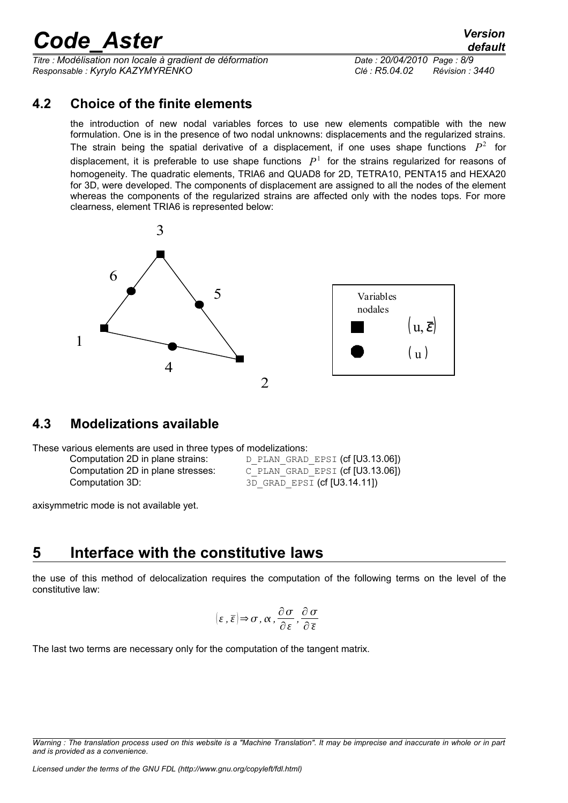*Titre : Modélisation non locale à gradient de déformation Date : 20/04/2010 Page : 8/9 Responsable : Kyrylo KAZYMYRENKO Clé : R5.04.02 Révision : 3440*

#### **4.2 Choice of the finite elements**

the introduction of new nodal variables forces to use new elements compatible with the new formulation. One is in the presence of two nodal unknowns: displacements and the regularized strains. The strain being the spatial derivative of a displacement, if one uses shape functions  $P^2$  for displacement, it is preferable to use shape functions  $P^1$  for the strains regularized for reasons of homogeneity. The quadratic elements, TRIA6 and QUAD8 for 2D, TETRA10, PENTA15 and HEXA20 for 3D, were developed. The components of displacement are assigned to all the nodes of the element whereas the components of the regularized strains are affected only with the nodes tops. For more clearness, element TRIA6 is represented below:



#### **4.3 Modelizations available**

These various elements are used in three types of modelizations:

Computation 3D: 3D\_GRAD\_EPSI (cf [U3.14.11])

Computation 2D in plane strains: D\_PLAN\_GRAD\_EPSI (cf [U3.13.06]) Computation 2D in plane stresses: C\_PLAN\_GRAD\_EPSI (cf [U3.13.06])

axisymmetric mode is not available yet.

### **5 Interface with the constitutive laws**

the use of this method of delocalization requires the computation of the following terms on the level of the constitutive law:

$$
(\varepsilon, \overline{\varepsilon}) \Rightarrow \sigma, \alpha, \frac{\partial \sigma}{\partial \varepsilon}, \frac{\partial \sigma}{\partial \overline{\varepsilon}}
$$

The last two terms are necessary only for the computation of the tangent matrix.

*Warning : The translation process used on this website is a "Machine Translation". It may be imprecise and inaccurate in whole or in part and is provided as a convenience.*